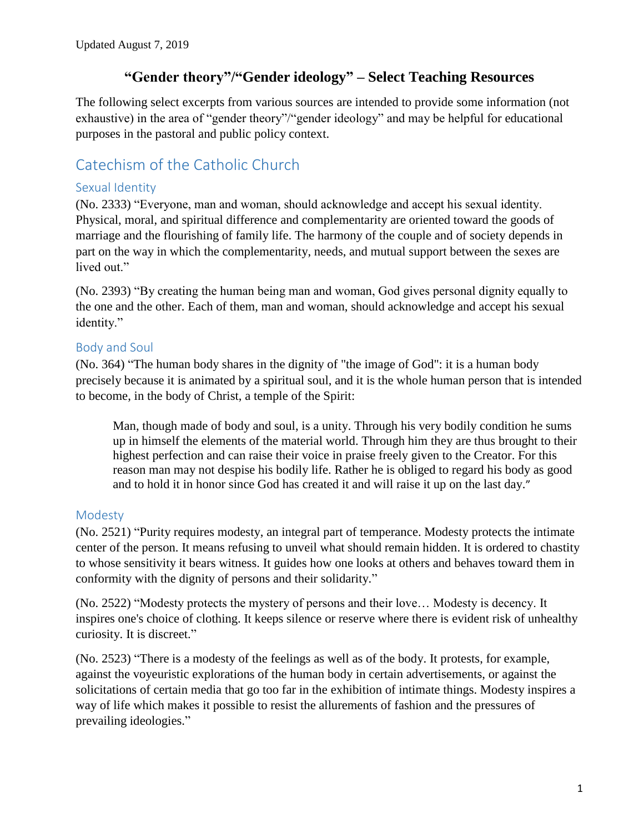# **"Gender theory"/"Gender ideology" – Select Teaching Resources**

The following select excerpts from various sources are intended to provide some information (not exhaustive) in the area of "gender theory"/"gender ideology" and may be helpful for educational purposes in the pastoral and public policy context.

# Catechism of the Catholic Church

### Sexual Identity

(No. 2333) "Everyone, man and woman, should acknowledge and accept his sexual identity. Physical, moral, and spiritual difference and complementarity are oriented toward the goods of marriage and the flourishing of family life. The harmony of the couple and of society depends in part on the way in which the complementarity, needs, and mutual support between the sexes are lived out."

(No. 2393) "By creating the human being man and woman, God gives personal dignity equally to the one and the other. Each of them, man and woman, should acknowledge and accept his sexual identity."

## Body and Soul

(No. 364) "The human body shares in the dignity of "the image of God": it is a human body precisely because it is animated by a spiritual soul, and it is the whole human person that is intended to become, in the body of Christ, a temple of the Spirit:

Man, though made of body and soul, is a unity. Through his very bodily condition he sums up in himself the elements of the material world. Through him they are thus brought to their highest perfection and can raise their voice in praise freely given to the Creator. For this reason man may not despise his bodily life. Rather he is obliged to regard his body as good and to hold it in honor since God has created it and will raise it up on the last day."

## Modesty

(No. 2521) "Purity requires modesty, an integral part of temperance. Modesty protects the intimate center of the person. It means refusing to unveil what should remain hidden. It is ordered to chastity to whose sensitivity it bears witness. It guides how one looks at others and behaves toward them in conformity with the dignity of persons and their solidarity."

(No. 2522) "Modesty protects the mystery of persons and their love… Modesty is decency. It inspires one's choice of clothing. It keeps silence or reserve where there is evident risk of unhealthy curiosity. It is discreet."

(No. 2523) "There is a modesty of the feelings as well as of the body. It protests, for example, against the voyeuristic explorations of the human body in certain advertisements, or against the solicitations of certain media that go too far in the exhibition of intimate things. Modesty inspires a way of life which makes it possible to resist the allurements of fashion and the pressures of prevailing ideologies."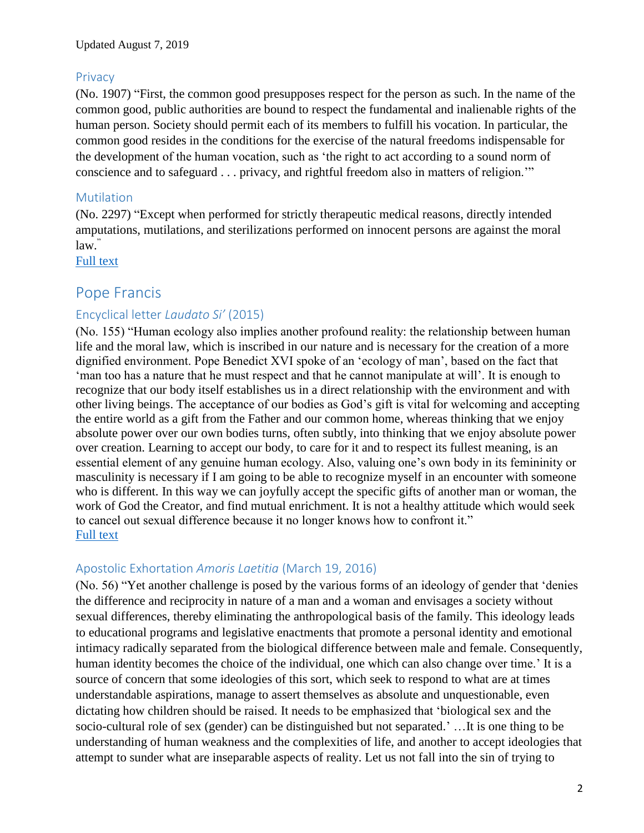#### **Privacy**

(No. 1907) "First, the common good presupposes respect for the person as such. In the name of the common good, public authorities are bound to respect the fundamental and inalienable rights of the human person. Society should permit each of its members to fulfill his vocation. In particular, the common good resides in the conditions for the exercise of the natural freedoms indispensable for the development of the human vocation, such as 'the right to act according to a sound norm of conscience and to safeguard . . . privacy, and rightful freedom also in matters of religion.'"

### **Mutilation**

(No. 2297) "Except when performed for strictly therapeutic medical reasons, directly intended amputations, mutilations, and sterilizations performed on innocent persons are against the moral law."

[Full text](http://www.vatican.va/archive/ENG0015/_INDEX.HTM)

# Pope Francis

## Encyclical letter *Laudato Si'* (2015)

(No. 155) "Human ecology also implies another profound reality: the relationship between human life and the moral law, which is inscribed in our nature and is necessary for the creation of a more dignified environment. Pope Benedict XVI spoke of an 'ecology of man', based on the fact that 'man too has a nature that he must respect and that he cannot manipulate at will'. It is enough to recognize that our body itself establishes us in a direct relationship with the environment and with other living beings. The acceptance of our bodies as God's gift is vital for welcoming and accepting the entire world as a gift from the Father and our common home, whereas thinking that we enjoy absolute power over our own bodies turns, often subtly, into thinking that we enjoy absolute power over creation. Learning to accept our body, to care for it and to respect its fullest meaning, is an essential element of any genuine human ecology. Also, valuing one's own body in its femininity or masculinity is necessary if I am going to be able to recognize myself in an encounter with someone who is different. In this way we can joyfully accept the specific gifts of another man or woman, the work of God the Creator, and find mutual enrichment. It is not a healthy attitude which would seek to cancel out sexual difference because it no longer knows how to confront it." [Full text](http://w2.vatican.va/content/francesco/en/encyclicals/documents/papa-francesco_20150524_enciclica-laudato-si.html)

### Apostolic Exhortation *Amoris Laetitia* (March 19, 2016)

(No. 56) "Yet another challenge is posed by the various forms of an ideology of gender that 'denies the difference and reciprocity in nature of a man and a woman and envisages a society without sexual differences, thereby eliminating the anthropological basis of the family. This ideology leads to educational programs and legislative enactments that promote a personal identity and emotional intimacy radically separated from the biological difference between male and female. Consequently, human identity becomes the choice of the individual, one which can also change over time.' It is a source of concern that some ideologies of this sort, which seek to respond to what are at times understandable aspirations, manage to assert themselves as absolute and unquestionable, even dictating how children should be raised. It needs to be emphasized that 'biological sex and the socio-cultural role of sex (gender) can be distinguished but not separated.' …It is one thing to be understanding of human weakness and the complexities of life, and another to accept ideologies that attempt to sunder what are inseparable aspects of reality. Let us not fall into the sin of trying to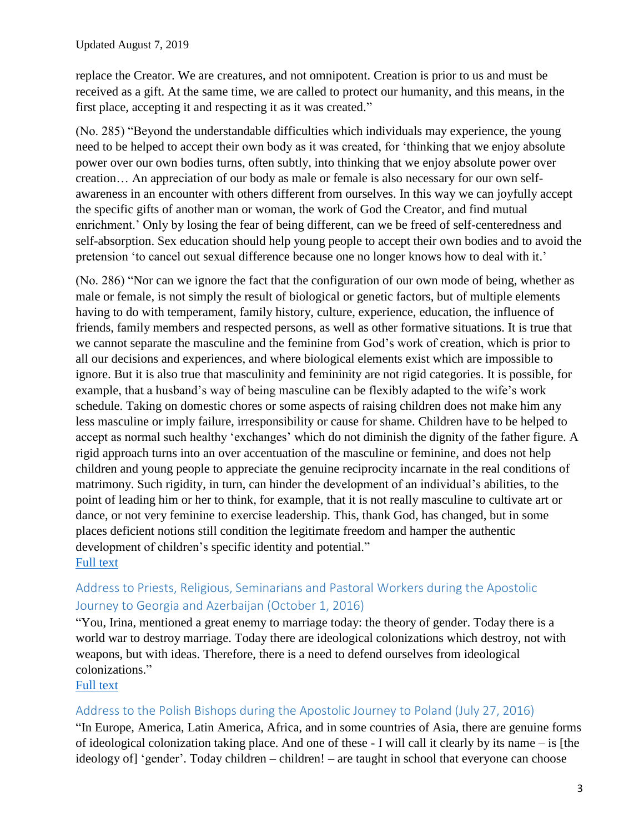replace the Creator. We are creatures, and not omnipotent. Creation is prior to us and must be received as a gift. At the same time, we are called to protect our humanity, and this means, in the first place, accepting it and respecting it as it was created."

(No. 285) "Beyond the understandable difficulties which individuals may experience, the young need to be helped to accept their own body as it was created, for 'thinking that we enjoy absolute power over our own bodies turns, often subtly, into thinking that we enjoy absolute power over creation… An appreciation of our body as male or female is also necessary for our own selfawareness in an encounter with others different from ourselves. In this way we can joyfully accept the specific gifts of another man or woman, the work of God the Creator, and find mutual enrichment.' Only by losing the fear of being different, can we be freed of self-centeredness and self-absorption. Sex education should help young people to accept their own bodies and to avoid the pretension 'to cancel out sexual difference because one no longer knows how to deal with it.'

(No. 286) "Nor can we ignore the fact that the configuration of our own mode of being, whether as male or female, is not simply the result of biological or genetic factors, but of multiple elements having to do with temperament, family history, culture, experience, education, the influence of friends, family members and respected persons, as well as other formative situations. It is true that we cannot separate the masculine and the feminine from God's work of creation, which is prior to all our decisions and experiences, and where biological elements exist which are impossible to ignore. But it is also true that masculinity and femininity are not rigid categories. It is possible, for example, that a husband's way of being masculine can be flexibly adapted to the wife's work schedule. Taking on domestic chores or some aspects of raising children does not make him any less masculine or imply failure, irresponsibility or cause for shame. Children have to be helped to accept as normal such healthy 'exchanges' which do not diminish the dignity of the father figure. A rigid approach turns into an over accentuation of the masculine or feminine, and does not help children and young people to appreciate the genuine reciprocity incarnate in the real conditions of matrimony. Such rigidity, in turn, can hinder the development of an individual's abilities, to the point of leading him or her to think, for example, that it is not really masculine to cultivate art or dance, or not very feminine to exercise leadership. This, thank God, has changed, but in some places deficient notions still condition the legitimate freedom and hamper the authentic development of children's specific identity and potential." [Full text](https://w2.vatican.va/content/dam/francesco/pdf/apost_exhortations/documents/papa-francesco_esortazione-ap_20160319_amoris-laetitia_en.pdf)

# Address to Priests, Religious, Seminarians and Pastoral Workers during the Apostolic Journey to Georgia and Azerbaijan (October 1, 2016)

"You, Irina, mentioned a great enemy to marriage today: the theory of gender. Today there is a world war to destroy marriage. Today there are ideological colonizations which destroy, not with weapons, but with ideas. Therefore, there is a need to defend ourselves from ideological colonizations."

### [Full text](http://w2.vatican.va/content/francesco/en/speeches/2016/october/documents/papa-francesco_20161001_georgia-sacerdoti-religiosi.html)

### Address to the Polish Bishops during the Apostolic Journey to Poland (July 27, 2016)

"In Europe, America, Latin America, Africa, and in some countries of Asia, there are genuine forms of ideological colonization taking place. And one of these - I will call it clearly by its name – is [the ideology of] 'gender'. Today children – children! – are taught in school that everyone can choose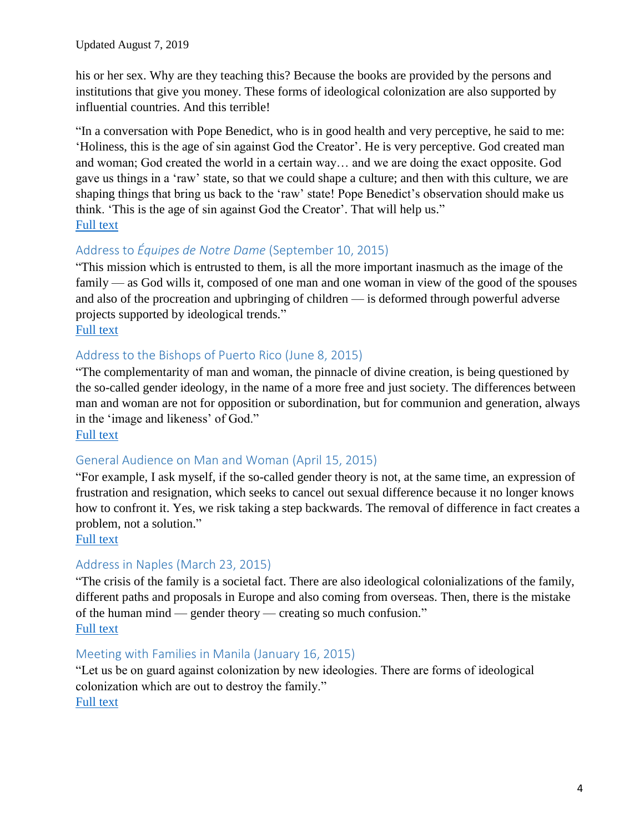his or her sex. Why are they teaching this? Because the books are provided by the persons and institutions that give you money. These forms of ideological colonization are also supported by influential countries. And this terrible!

"In a conversation with Pope Benedict, who is in good health and very perceptive, he said to me: 'Holiness, this is the age of sin against God the Creator'. He is very perceptive. God created man and woman; God created the world in a certain way… and we are doing the exact opposite. God gave us things in a 'raw' state, so that we could shape a culture; and then with this culture, we are shaping things that bring us back to the 'raw' state! Pope Benedict's observation should make us think. 'This is the age of sin against God the Creator'. That will help us." [Full text](http://w2.vatican.va/content/francesco/en/speeches/2016/july/documents/papa-francesco_20160727_polonia-vescovi.html)

## Address to *Équipes de Notre Dame* (September 10, 2015)

"This mission which is entrusted to them, is all the more important inasmuch as the image of the family — as God wills it, composed of one man and one woman in view of the good of the spouses and also of the procreation and upbringing of children — is deformed through powerful adverse projects supported by ideological trends." [Full text](http://w2.vatican.va/content/francesco/en/speeches/2015/september/documents/papa-francesco_20150910_equipes-notre-dame.html)

## Address to the Bishops of Puerto Rico (June 8, 2015)

"The complementarity of man and woman, the pinnacle of divine creation, is being questioned by the so-called gender ideology, in the name of a more free and just society. The differences between man and woman are not for opposition or subordination, but for communion and generation, always in the 'image and likeness' of God."

#### [Full text](http://w2.vatican.va/content/francesco/en/speeches/2015/june/documents/papa-francesco_20150608_adlimina-porto-rico.html)

## General Audience on Man and Woman (April 15, 2015)

"For example, I ask myself, if the so-called gender theory is not, at the same time, an expression of frustration and resignation, which seeks to cancel out sexual difference because it no longer knows how to confront it. Yes, we risk taking a step backwards. The removal of difference in fact creates a problem, not a solution."

#### [Full text](http://w2.vatican.va/content/francesco/en/audiences/2015/documents/papa-francesco_20150415_udienza-generale.html)

## Address in Naples (March 23, 2015)

"The crisis of the family is a societal fact. There are also ideological colonializations of the family, different paths and proposals in Europe and also coming from overseas. Then, there is the mistake of the human mind — gender theory — creating so much confusion." [Full text](http://w2.vatican.va/content/francesco/en/speeches/2015/march/documents/papa-francesco_20150321_napoli-pompei-giovani.html)

### Meeting with Families in Manila (January 16, 2015)

"Let us be on guard against colonization by new ideologies. There are forms of ideological colonization which are out to destroy the family." [Full text](https://w2.vatican.va/content/francesco/en/speeches/2015/january/documents/papa-francesco_20150116_srilanka-filippine-incontro-famiglie.html)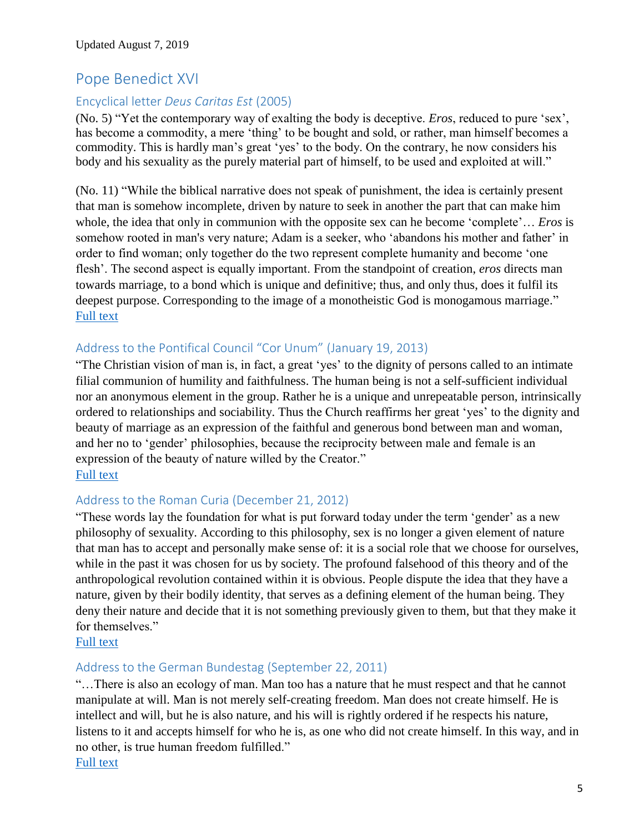# Pope Benedict XVI

## Encyclical letter *Deus Caritas Est* (2005)

(No. 5) "Yet the contemporary way of exalting the body is deceptive. *Eros*, reduced to pure 'sex', has become a commodity, a mere 'thing' to be bought and sold, or rather, man himself becomes a commodity. This is hardly man's great 'yes' to the body. On the contrary, he now considers his body and his sexuality as the purely material part of himself, to be used and exploited at will."

(No. 11) "While the biblical narrative does not speak of punishment, the idea is certainly present that man is somehow incomplete, driven by nature to seek in another the part that can make him whole, the idea that only in communion with the opposite sex can he become 'complete'… *Eros* is somehow rooted in man's very nature; Adam is a seeker, who 'abandons his mother and father' in order to find woman; only together do the two represent complete humanity and become 'one flesh'. The second aspect is equally important. From the standpoint of creation, *eros* directs man towards marriage, to a bond which is unique and definitive; thus, and only thus, does it fulfil its deepest purpose. Corresponding to the image of a monotheistic God is monogamous marriage." [Full text](http://w2.vatican.va/content/benedict-xvi/en/encyclicals/documents/hf_ben-xvi_enc_20051225_deus-caritas-est.html)

## Address to the Pontifical Council "Cor Unum" (January 19, 2013)

"The Christian vision of man is, in fact, a great 'yes' to the dignity of persons called to an intimate filial communion of humility and faithfulness. The human being is not a self-sufficient individual nor an anonymous element in the group. Rather he is a unique and unrepeatable person, intrinsically ordered to relationships and sociability. Thus the Church reaffirms her great 'yes' to the dignity and beauty of marriage as an expression of the faithful and generous bond between man and woman, and her no to 'gender' philosophies, because the reciprocity between male and female is an expression of the beauty of nature willed by the Creator." [Full text](http://www.vatican.va/holy_father/benedict_xvi/speeches/2013/january/documents/hf_ben-xvi_spe_20130119_pc-corunum_en.html.)

### Address to the Roman Curia (December 21, 2012)

"These words lay the foundation for what is put forward today under the term 'gender' as a new philosophy of sexuality. According to this philosophy, sex is no longer a given element of nature that man has to accept and personally make sense of: it is a social role that we choose for ourselves, while in the past it was chosen for us by society. The profound falsehood of this theory and of the anthropological revolution contained within it is obvious. People dispute the idea that they have a nature, given by their bodily identity, that serves as a defining element of the human being. They deny their nature and decide that it is not something previously given to them, but that they make it for themselves."

#### [Full text](http://w2.vatican.va/content/benedict-xvi/en/speeches/2012/december/documents/hf_ben-xvi_spe_20121221_auguri-curia.html)

### Address to the German Bundestag (September 22, 2011)

"…There is also an ecology of man. Man too has a nature that he must respect and that he cannot manipulate at will. Man is not merely self-creating freedom. Man does not create himself. He is intellect and will, but he is also nature, and his will is rightly ordered if he respects his nature, listens to it and accepts himself for who he is, as one who did not create himself. In this way, and in no other, is true human freedom fulfilled."

[Full text](http://w2.vatican.va/content/benedict-xvi/en/speeches/2011/september/documents/hf_ben-xvi_spe_20110922_reichstag-berlin.html)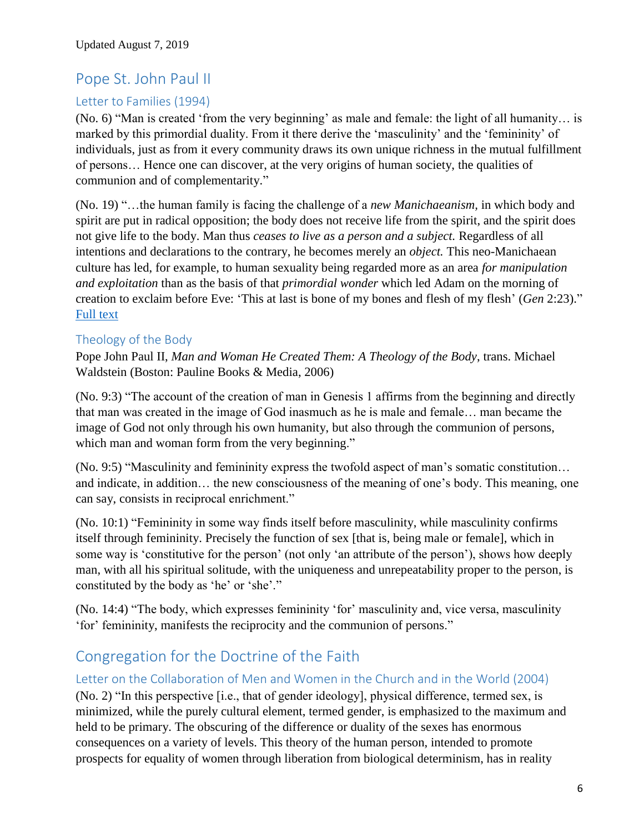# Pope St. John Paul II

# Letter to Families (1994)

(No. 6) "Man is created 'from the very beginning' as male and female: the light of all humanity… is marked by this primordial duality. From it there derive the 'masculinity' and the 'femininity' of individuals, just as from it every community draws its own unique richness in the mutual fulfillment of persons… Hence one can discover, at the very origins of human society, the qualities of communion and of complementarity."

(No. 19) "…the human family is facing the challenge of a *new Manichaeanism,* in which body and spirit are put in radical opposition; the body does not receive life from the spirit, and the spirit does not give life to the body. Man thus *ceases to live as a person and a subject.* Regardless of all intentions and declarations to the contrary, he becomes merely an *object.* This neo-Manichaean culture has led, for example, to human sexuality being regarded more as an area *for manipulation and exploitation* than as the basis of that *primordial wonder* which led Adam on the morning of creation to exclaim before Eve: 'This at last is bone of my bones and flesh of my flesh' (*Gen* 2:23)." [Full text](http://w2.vatican.va/content/john-paul-ii/en/letters/1994/documents/hf_jp-ii_let_02021994_families.html)

## Theology of the Body

Pope John Paul II, *Man and Woman He Created Them: A Theology of the Body*, trans. Michael Waldstein (Boston: Pauline Books & Media, 2006)

(No. 9:3) "The account of the creation of man in Genesis 1 affirms from the beginning and directly that man was created in the image of God inasmuch as he is male and female… man became the image of God not only through his own humanity, but also through the communion of persons, which man and woman form from the very beginning."

(No. 9:5) "Masculinity and femininity express the twofold aspect of man's somatic constitution… and indicate, in addition… the new consciousness of the meaning of one's body. This meaning, one can say, consists in reciprocal enrichment."

(No. 10:1) "Femininity in some way finds itself before masculinity, while masculinity confirms itself through femininity. Precisely the function of sex [that is, being male or female], which in some way is 'constitutive for the person' (not only 'an attribute of the person'), shows how deeply man, with all his spiritual solitude, with the uniqueness and unrepeatability proper to the person, is constituted by the body as 'he' or 'she'."

(No. 14:4) "The body, which expresses femininity 'for' masculinity and, vice versa, masculinity 'for' femininity, manifests the reciprocity and the communion of persons."

# Congregation for the Doctrine of the Faith

## Letter on the Collaboration of Men and Women in the Church and in the World (2004)

(No. 2) "In this perspective [i.e., that of gender ideology], physical difference, termed sex, is minimized, while the purely cultural element, termed gender, is emphasized to the maximum and held to be primary. The obscuring of the difference or duality of the sexes has enormous consequences on a variety of levels. This theory of the human person, intended to promote prospects for equality of women through liberation from biological determinism, has in reality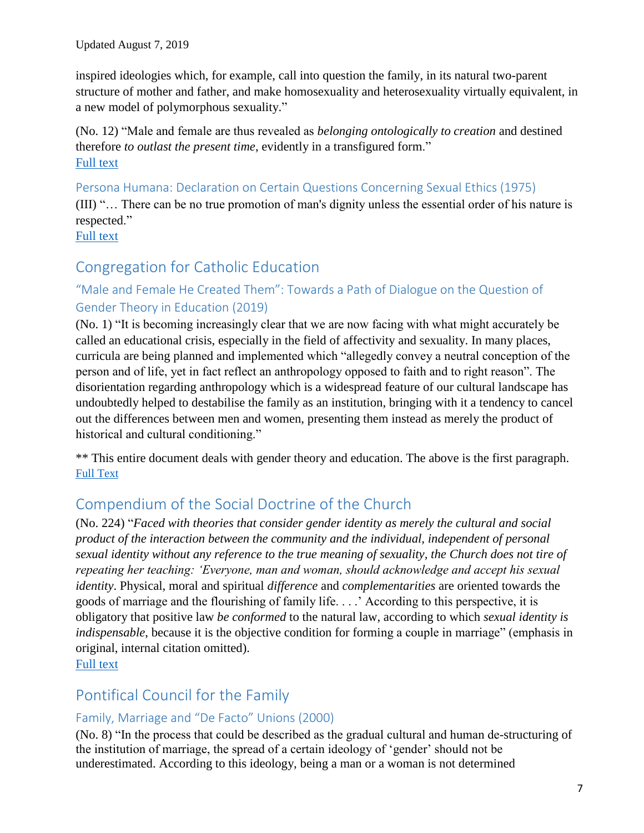inspired ideologies which, for example, call into question the family, in its natural two-parent structure of mother and father, and make homosexuality and heterosexuality virtually equivalent, in a new model of polymorphous sexuality."

(No. 12) "Male and female are thus revealed as *belonging ontologically to creation* and destined therefore *to outlast the present time*, evidently in a transfigured form." [Full text](http://www.vatican.va/roman_curia/congregations/cfaith/documents/rc_con_cfaith_doc_20040731_collaboration_en.html)

Persona Humana: Declaration on Certain Questions Concerning Sexual Ethics (1975) (III) "… There can be no true promotion of man's dignity unless the essential order of his nature is respected." [Full text](http://www.vatican.va/roman_curia/congregations/cfaith/documents/rc_con_cfaith_doc_19751229_persona-humana_en.html)

# Congregation for Catholic Education

# "Male and Female He Created Them": Towards a Path of Dialogue on the Question of Gender Theory in Education (2019)

(No. 1) "It is becoming increasingly clear that we are now facing with what might accurately be called an educational crisis, especially in the field of affectivity and sexuality. In many places, curricula are being planned and implemented which "allegedly convey a neutral conception of the person and of life, yet in fact reflect an anthropology opposed to faith and to right reason". The disorientation regarding anthropology which is a widespread feature of our cultural landscape has undoubtedly helped to destabilise the family as an institution, bringing with it a tendency to cancel out the differences between men and women, presenting them instead as merely the product of historical and cultural conditioning."

\*\* This entire document deals with gender theory and education. The above is the first paragraph. [Full Text](http://www.vatican.va/roman_curia/congregations/ccatheduc/documents/rc_con_ccatheduc_doc_20190202_maschio-e-femmina_en.pdf)

# Compendium of the Social Doctrine of the Church

(No. 224) "*Faced with theories that consider gender identity as merely the cultural and social product of the interaction between the community and the individual, independent of personal sexual identity without any reference to the true meaning of sexuality, the Church does not tire of repeating her teaching: 'Everyone, man and woman, should acknowledge and accept his sexual identity*. Physical, moral and spiritual *difference* and *complementarities* are oriented towards the goods of marriage and the flourishing of family life. . . .' According to this perspective, it is obligatory that positive law *be conformed* to the natural law, according to which *sexual identity is indispensable*, because it is the objective condition for forming a couple in marriage" (emphasis in original, internal citation omitted).

[Full text](http://www.vatican.va/roman_curia/pontifical_councils/justpeace/documents/rc_pc_justpeace_doc_20060526_compendio-dott-soc_en.html.)

# Pontifical Council for the Family

# Family, Marriage and "De Facto" Unions (2000)

(No. 8) "In the process that could be described as the gradual cultural and human de-structuring of the institution of marriage, the spread of a certain ideology of 'gender' should not be underestimated. According to this ideology, being a man or a woman is not determined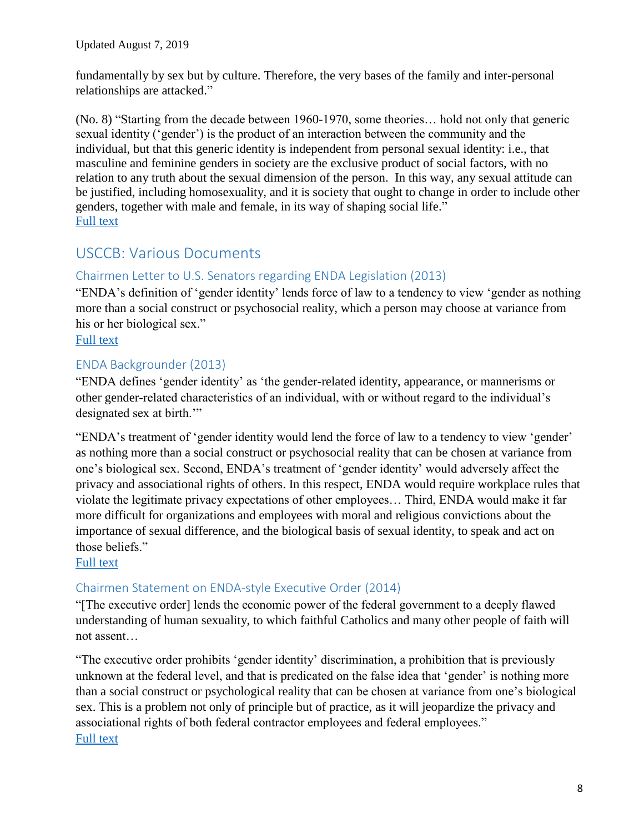fundamentally by sex but by culture. Therefore, the very bases of the family and inter-personal relationships are attacked."

(No. 8) "Starting from the decade between 1960-1970, some theories… hold not only that generic sexual identity ('gender') is the product of an interaction between the community and the individual, but that this generic identity is independent from personal sexual identity: i.e., that masculine and feminine genders in society are the exclusive product of social factors, with no relation to any truth about the sexual dimension of the person. In this way, any sexual attitude can be justified, including homosexuality, and it is society that ought to change in order to include other genders, together with male and female, in its way of shaping social life." [Full text](http://www.vatican.va/roman_curia/pontifical_councils/family/documents/rc_pc_family_doc_20001109_de-facto-unions_en.html)

# USCCB: Various Documents

## Chairmen Letter to U.S. Senators regarding ENDA Legislation (2013)

"ENDA's definition of 'gender identity' lends force of law to a tendency to view 'gender as nothing more than a social construct or psychosocial reality, which a person may choose at variance from his or her biological sex."

[Full text](http://www.usccb.org/issues-and-action/human-life-and-dignity/labor-employment/upload/joint-letter-senate-enda-2013-10-31.pdf)

## ENDA Backgrounder (2013)

"ENDA defines 'gender identity' as 'the gender-related identity, appearance, or mannerisms or other gender-related characteristics of an individual, with or without regard to the individual's designated sex at birth."

"ENDA's treatment of 'gender identity would lend the force of law to a tendency to view 'gender' as nothing more than a social construct or psychosocial reality that can be chosen at variance from one's biological sex. Second, ENDA's treatment of 'gender identity' would adversely affect the privacy and associational rights of others. In this respect, ENDA would require workplace rules that violate the legitimate privacy expectations of other employees… Third, ENDA would make it far more difficult for organizations and employees with moral and religious convictions about the importance of sexual difference, and the biological basis of sexual identity, to speak and act on those beliefs."

[Full text](http://www.usccb.org/issues-and-action/human-life-and-dignity/labor-employment/upload/enda-backgrounder-2013.pdf.)

## Chairmen Statement on ENDA-style Executive Order (2014)

"[The executive order] lends the economic power of the federal government to a deeply flawed understanding of human sexuality, to which faithful Catholics and many other people of faith will not assent…

"The executive order prohibits 'gender identity' discrimination, a prohibition that is previously unknown at the federal level, and that is predicated on the false idea that 'gender' is nothing more than a social construct or psychological reality that can be chosen at variance from one's biological sex. This is a problem not only of principle but of practice, as it will jeopardize the privacy and associational rights of both federal contractor employees and federal employees." [Full text](http://www.usccb.org/news/2014/14-126.cfm)